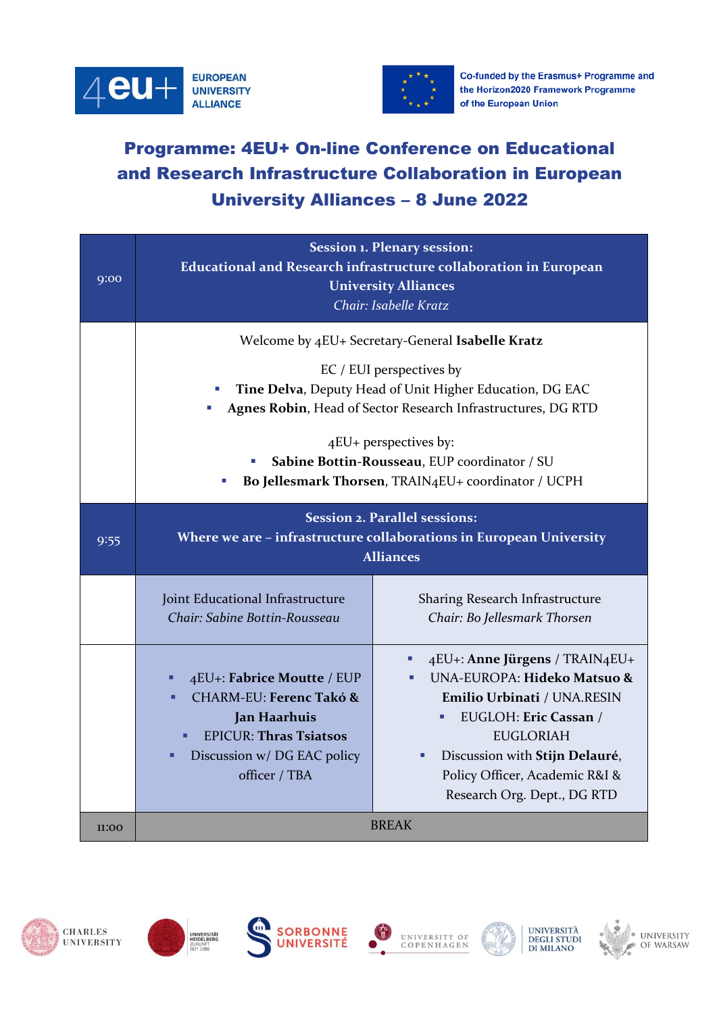



Co-funded by the Erasmus+ Programme and the Horizon2020 Framework Programme of the European Union

## Programme: 4EU+ On-line Conference on Educational and Research Infrastructure Collaboration in European University Alliances – 8 June 2022

| Q:OO  | <b>Session 1. Plenary session:</b><br>Educational and Research infrastructure collaboration in European<br><b>University Alliances</b><br>Chair: Isabelle Kratz                                                                                                                                                                          |                                                                                                                                                                                                                                              |
|-------|------------------------------------------------------------------------------------------------------------------------------------------------------------------------------------------------------------------------------------------------------------------------------------------------------------------------------------------|----------------------------------------------------------------------------------------------------------------------------------------------------------------------------------------------------------------------------------------------|
|       | Welcome by 4EU+ Secretary-General Isabelle Kratz<br>EC / EUI perspectives by<br>Tine Delva, Deputy Head of Unit Higher Education, DG EAC<br>Agnes Robin, Head of Sector Research Infrastructures, DG RTD<br>4EU+ perspectives by:<br>Sabine Bottin-Rousseau, EUP coordinator / SU<br>Bo Jellesmark Thorsen, TRAIN4EU+ coordinator / UCPH |                                                                                                                                                                                                                                              |
| 9:55  | <b>Session 2. Parallel sessions:</b><br>Where we are - infrastructure collaborations in European University<br><b>Alliances</b>                                                                                                                                                                                                          |                                                                                                                                                                                                                                              |
|       | Joint Educational Infrastructure<br>Chair: Sabine Bottin-Rousseau                                                                                                                                                                                                                                                                        | Sharing Research Infrastructure<br>Chair: Bo Jellesmark Thorsen                                                                                                                                                                              |
|       | 4EU+: Fabrice Moutte / EUP<br><b>CHARM-EU: Ferenc Takó &amp;</b><br>Jan Haarhuis<br><b>EPICUR: Thras Tsiatsos</b><br>Discussion w/ DG EAC policy<br>officer / TBA                                                                                                                                                                        | 4EU+: Anne Jürgens / TRAIN4EU+<br>UNA-EUROPA: Hideko Matsuo &<br>Emilio Urbinati / UNA.RESIN<br>EUGLOH: Eric Cassan /<br><b>EUGLORIAH</b><br>Discussion with Stijn Delauré,<br>Policy Officer, Academic R&I &<br>Research Org. Dept., DG RTD |
| 11:00 | <b>BREAK</b>                                                                                                                                                                                                                                                                                                                             |                                                                                                                                                                                                                                              |